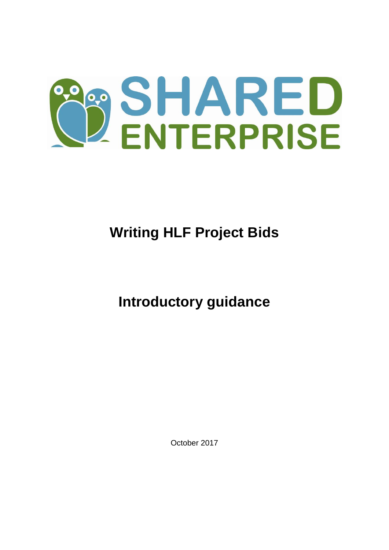

# **Writing HLF Project Bids**

## **Introductory guidance**

October 2017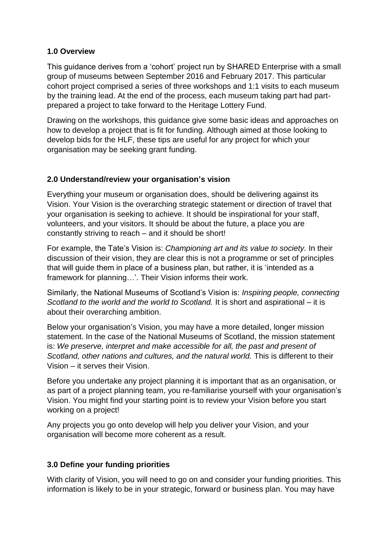### **1.0 Overview**

This guidance derives from a 'cohort' project run by SHARED Enterprise with a small group of museums between September 2016 and February 2017. This particular cohort project comprised a series of three workshops and 1:1 visits to each museum by the training lead. At the end of the process, each museum taking part had partprepared a project to take forward to the Heritage Lottery Fund.

Drawing on the workshops, this guidance give some basic ideas and approaches on how to develop a project that is fit for funding. Although aimed at those looking to develop bids for the HLF, these tips are useful for any project for which your organisation may be seeking grant funding.

#### **2.0 Understand/review your organisation's vision**

Everything your museum or organisation does, should be delivering against its Vision. Your Vision is the overarching strategic statement or direction of travel that your organisation is seeking to achieve. It should be inspirational for your staff, volunteers, and your visitors. It should be about the future, a place you are constantly striving to reach – and it should be short!

For example, the Tate's Vision is: *Championing art and its value to society.* In their discussion of their vision, they are clear this is not a programme or set of principles that will guide them in place of a business plan, but rather, it is 'intended as a framework for planning…'. Their Vision informs their work.

Similarly, the National Museums of Scotland's Vision is: *Inspiring people, connecting Scotland to the world and the world to Scotland.* It is short and aspirational – it is about their overarching ambition.

Below your organisation's Vision, you may have a more detailed, longer mission statement. In the case of the National Museums of Scotland, the mission statement is: *We preserve, interpret and make accessible for all, the past and present of Scotland, other nations and cultures, and the natural world.* This is different to their Vision – it serves their Vision.

Before you undertake any project planning it is important that as an organisation, or as part of a project planning team, you re-familiarise yourself with your organisation's Vision. You might find your starting point is to review your Vision before you start working on a project!

Any projects you go onto develop will help you deliver your Vision, and your organisation will become more coherent as a result.

#### **3.0 Define your funding priorities**

With clarity of Vision, you will need to go on and consider your funding priorities. This information is likely to be in your strategic, forward or business plan. You may have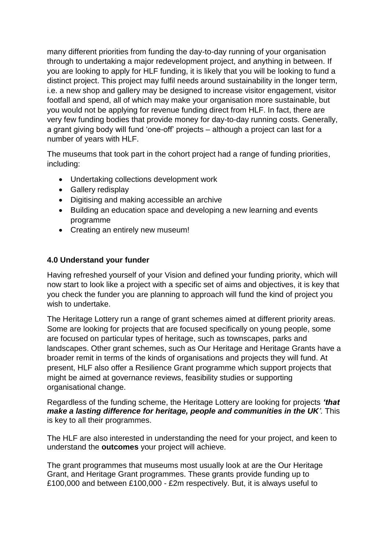many different priorities from funding the day-to-day running of your organisation through to undertaking a major redevelopment project, and anything in between. If you are looking to apply for HLF funding, it is likely that you will be looking to fund a distinct project. This project may fulfil needs around sustainability in the longer term, i.e. a new shop and gallery may be designed to increase visitor engagement, visitor footfall and spend, all of which may make your organisation more sustainable, but you would not be applying for revenue funding direct from HLF. In fact, there are very few funding bodies that provide money for day-to-day running costs. Generally, a grant giving body will fund 'one-off' projects – although a project can last for a number of years with HLF.

The museums that took part in the cohort project had a range of funding priorities, including:

- Undertaking collections development work
- Gallery redisplay
- Digitising and making accessible an archive
- Building an education space and developing a new learning and events programme
- Creating an entirely new museum!

### **4.0 Understand your funder**

Having refreshed yourself of your Vision and defined your funding priority, which will now start to look like a project with a specific set of aims and objectives, it is key that you check the funder you are planning to approach will fund the kind of project you wish to undertake.

The Heritage Lottery run a range of grant schemes aimed at different priority areas. Some are looking for projects that are focused specifically on young people, some are focused on particular types of heritage, such as townscapes, parks and landscapes. Other grant schemes, such as Our Heritage and Heritage Grants have a broader remit in terms of the kinds of organisations and projects they will fund. At present, HLF also offer a Resilience Grant programme which support projects that might be aimed at governance reviews, feasibility studies or supporting organisational change.

Regardless of the funding scheme, the Heritage Lottery are looking for projects *'that make a lasting difference for heritage, people and communities in the UK'.* This is key to all their programmes.

The HLF are also interested in understanding the need for your project, and keen to understand the **outcomes** your project will achieve.

The grant programmes that museums most usually look at are the Our Heritage Grant, and Heritage Grant programmes. These grants provide funding up to £100,000 and between £100,000 - £2m respectively. But, it is always useful to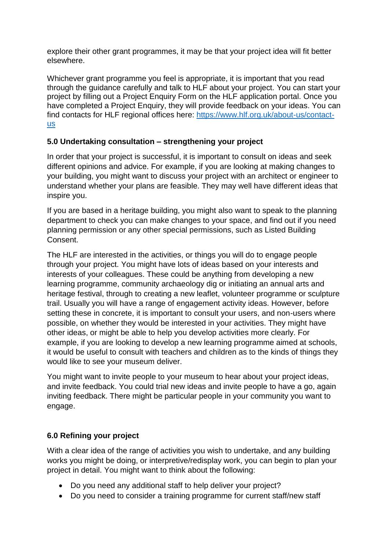explore their other grant programmes, it may be that your project idea will fit better elsewhere.

Whichever grant programme you feel is appropriate, it is important that you read through the guidance carefully and talk to HLF about your project. You can start your project by filling out a Project Enquiry Form on the HLF application portal. Once you have completed a Project Enquiry, they will provide feedback on your ideas. You can find contacts for HLF regional offices here: [https://www.hlf.org.uk/about-us/contact](https://www.hlf.org.uk/about-us/contact-us)[us](https://www.hlf.org.uk/about-us/contact-us)

## **5.0 Undertaking consultation – strengthening your project**

In order that your project is successful, it is important to consult on ideas and seek different opinions and advice. For example, if you are looking at making changes to your building, you might want to discuss your project with an architect or engineer to understand whether your plans are feasible. They may well have different ideas that inspire you.

If you are based in a heritage building, you might also want to speak to the planning department to check you can make changes to your space, and find out if you need planning permission or any other special permissions, such as Listed Building Consent.

The HLF are interested in the activities, or things you will do to engage people through your project. You might have lots of ideas based on your interests and interests of your colleagues. These could be anything from developing a new learning programme, community archaeology dig or initiating an annual arts and heritage festival, through to creating a new leaflet, volunteer programme or sculpture trail. Usually you will have a range of engagement activity ideas. However, before setting these in concrete, it is important to consult your users, and non-users where possible, on whether they would be interested in your activities. They might have other ideas, or might be able to help you develop activities more clearly. For example, if you are looking to develop a new learning programme aimed at schools, it would be useful to consult with teachers and children as to the kinds of things they would like to see your museum deliver.

You might want to invite people to your museum to hear about your project ideas, and invite feedback. You could trial new ideas and invite people to have a go, again inviting feedback. There might be particular people in your community you want to engage.

## **6.0 Refining your project**

With a clear idea of the range of activities you wish to undertake, and any building works you might be doing, or interpretive/redisplay work, you can begin to plan your project in detail. You might want to think about the following:

- Do you need any additional staff to help deliver your project?
- Do you need to consider a training programme for current staff/new staff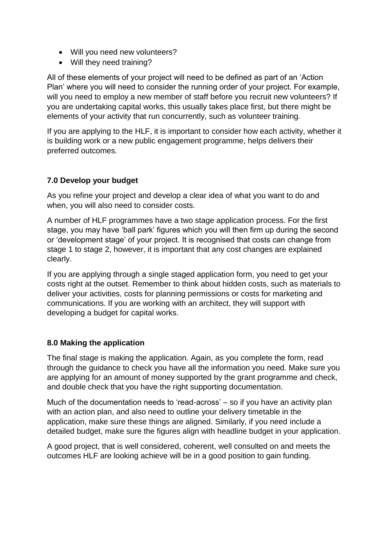- Will you need new volunteers?
- Will they need training?

All of these elements of your project will need to be defined as part of an 'Action Plan' where you will need to consider the running order of your project. For example, will you need to employ a new member of staff before you recruit new volunteers? If you are undertaking capital works, this usually takes place first, but there might be elements of your activity that run concurrently, such as volunteer training.

If you are applying to the HLF, it is important to consider how each activity, whether it is building work or a new public engagement programme, helps delivers their preferred outcomes.

## **7.0 Develop your budget**

As you refine your project and develop a clear idea of what you want to do and when, you will also need to consider costs.

A number of HLF programmes have a two stage application process. For the first stage, you may have 'ball park' figures which you will then firm up during the second or 'development stage' of your project. It is recognised that costs can change from stage 1 to stage 2, however, it is important that any cost changes are explained clearly.

If you are applying through a single staged application form, you need to get your costs right at the outset. Remember to think about hidden costs, such as materials to deliver your activities, costs for planning permissions or costs for marketing and communications. If you are working with an architect, they will support with developing a budget for capital works.

## **8.0 Making the application**

The final stage is making the application. Again, as you complete the form, read through the guidance to check you have all the information you need. Make sure you are applying for an amount of money supported by the grant programme and check, and double check that you have the right supporting documentation.

Much of the documentation needs to 'read-across' – so if you have an activity plan with an action plan, and also need to outline your delivery timetable in the application, make sure these things are aligned. Similarly, if you need include a detailed budget, make sure the figures align with headline budget in your application.

A good project, that is well considered, coherent, well consulted on and meets the outcomes HLF are looking achieve will be in a good position to gain funding.